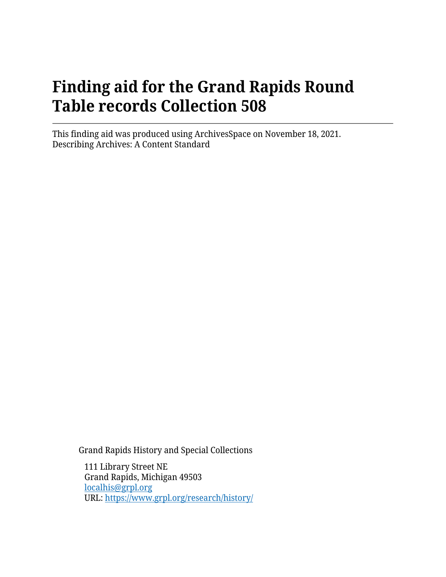# **Finding aid for the Grand Rapids Round Table records Collection 508**

This finding aid was produced using ArchivesSpace on November 18, 2021. Describing Archives: A Content Standard

Grand Rapids History and Special Collections

111 Library Street NE Grand Rapids, Michigan 49503 [localhis@grpl.org](mailto:localhis@grpl.org) URL:<https://www.grpl.org/research/history/>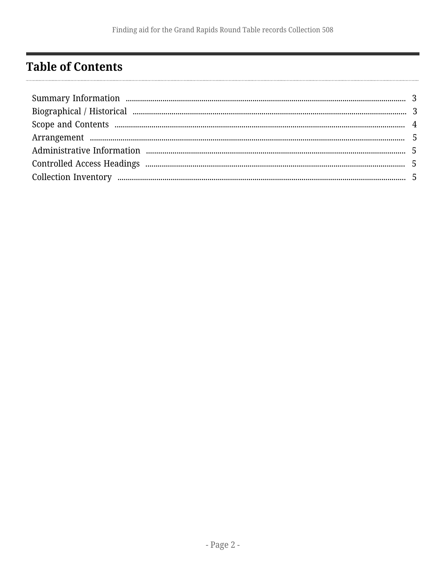# <span id="page-1-0"></span>**Table of Contents**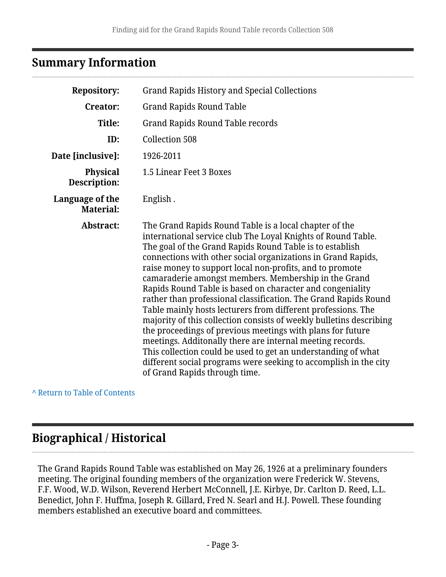# <span id="page-2-0"></span>**Summary Information**

| <b>Repository:</b>                  | <b>Grand Rapids History and Special Collections</b>                                                                                                                                                                                                                                                                                                                                                                                                                                                                                                                                                                                                                                                                                                                                                                                                                                                                                            |  |  |
|-------------------------------------|------------------------------------------------------------------------------------------------------------------------------------------------------------------------------------------------------------------------------------------------------------------------------------------------------------------------------------------------------------------------------------------------------------------------------------------------------------------------------------------------------------------------------------------------------------------------------------------------------------------------------------------------------------------------------------------------------------------------------------------------------------------------------------------------------------------------------------------------------------------------------------------------------------------------------------------------|--|--|
| <b>Creator:</b>                     | <b>Grand Rapids Round Table</b>                                                                                                                                                                                                                                                                                                                                                                                                                                                                                                                                                                                                                                                                                                                                                                                                                                                                                                                |  |  |
| Title:                              | <b>Grand Rapids Round Table records</b>                                                                                                                                                                                                                                                                                                                                                                                                                                                                                                                                                                                                                                                                                                                                                                                                                                                                                                        |  |  |
| ID:                                 | <b>Collection 508</b>                                                                                                                                                                                                                                                                                                                                                                                                                                                                                                                                                                                                                                                                                                                                                                                                                                                                                                                          |  |  |
| Date [inclusive]:                   | 1926-2011                                                                                                                                                                                                                                                                                                                                                                                                                                                                                                                                                                                                                                                                                                                                                                                                                                                                                                                                      |  |  |
| <b>Physical</b><br>Description:     | 1.5 Linear Feet 3 Boxes                                                                                                                                                                                                                                                                                                                                                                                                                                                                                                                                                                                                                                                                                                                                                                                                                                                                                                                        |  |  |
| Language of the<br><b>Material:</b> | English.                                                                                                                                                                                                                                                                                                                                                                                                                                                                                                                                                                                                                                                                                                                                                                                                                                                                                                                                       |  |  |
| Abstract:                           | The Grand Rapids Round Table is a local chapter of the<br>international service club The Loyal Knights of Round Table.<br>The goal of the Grand Rapids Round Table is to establish<br>connections with other social organizations in Grand Rapids,<br>raise money to support local non-profits, and to promote<br>camaraderie amongst members. Membership in the Grand<br>Rapids Round Table is based on character and congeniality<br>rather than professional classification. The Grand Rapids Round<br>Table mainly hosts lecturers from different professions. The<br>majority of this collection consists of weekly bulletins describing<br>the proceedings of previous meetings with plans for future<br>meetings. Additonally there are internal meeting records.<br>This collection could be used to get an understanding of what<br>different social programs were seeking to accomplish in the city<br>of Grand Rapids through time. |  |  |

**^** [Return to Table of Contents](#page-1-0)

# <span id="page-2-1"></span>**Biographical / Historical**

The Grand Rapids Round Table was established on May 26, 1926 at a preliminary founders meeting. The original founding members of the organization were Frederick W. Stevens, F.F. Wood, W.D. Wilson, Reverend Herbert McConnell, J.E. Kirbye, Dr. Carlton D. Reed, L.L. Benedict, John F. Huffma, Joseph R. Gillard, Fred N. Searl and H.J. Powell. These founding members established an executive board and committees.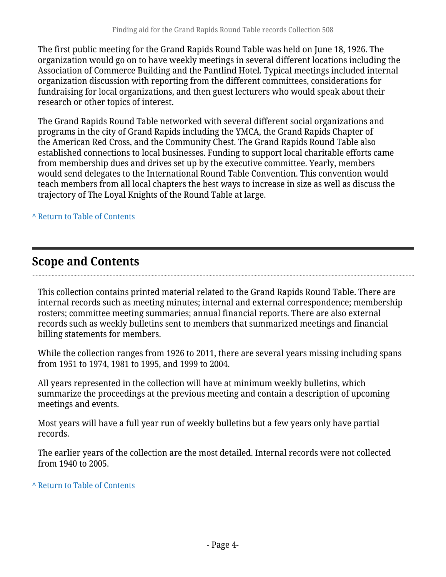The first public meeting for the Grand Rapids Round Table was held on June 18, 1926. The organization would go on to have weekly meetings in several different locations including the Association of Commerce Building and the Pantlind Hotel. Typical meetings included internal organization discussion with reporting from the different committees, considerations for fundraising for local organizations, and then guest lecturers who would speak about their research or other topics of interest.

The Grand Rapids Round Table networked with several different social organizations and programs in the city of Grand Rapids including the YMCA, the Grand Rapids Chapter of the American Red Cross, and the Community Chest. The Grand Rapids Round Table also established connections to local businesses. Funding to support local charitable efforts came from membership dues and drives set up by the executive committee. Yearly, members would send delegates to the International Round Table Convention. This convention would teach members from all local chapters the best ways to increase in size as well as discuss the trajectory of The Loyal Knights of the Round Table at large.

**^** [Return to Table of Contents](#page-1-0)

# <span id="page-3-0"></span>**Scope and Contents**

This collection contains printed material related to the Grand Rapids Round Table. There are internal records such as meeting minutes; internal and external correspondence; membership rosters; committee meeting summaries; annual financial reports. There are also external records such as weekly bulletins sent to members that summarized meetings and financial billing statements for members.

While the collection ranges from 1926 to 2011, there are several years missing including spans from 1951 to 1974, 1981 to 1995, and 1999 to 2004.

All years represented in the collection will have at minimum weekly bulletins, which summarize the proceedings at the previous meeting and contain a description of upcoming meetings and events.

Most years will have a full year run of weekly bulletins but a few years only have partial records.

The earlier years of the collection are the most detailed. Internal records were not collected from 1940 to 2005.

#### **^** [Return to Table of Contents](#page-1-0)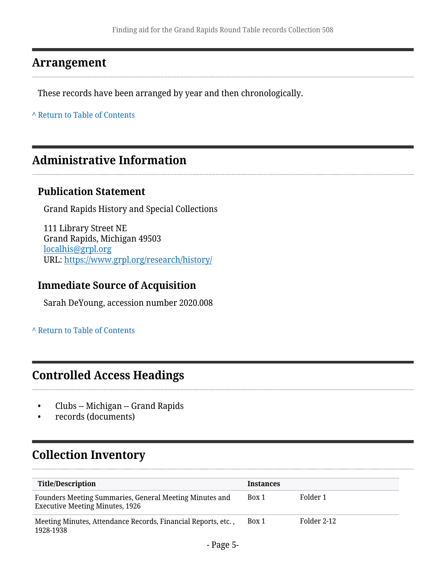### <span id="page-4-0"></span>**Arrangement**

These records have been arranged by year and then chronologically.

**^** [Return to Table of Contents](#page-1-0)

### <span id="page-4-1"></span>**Administrative Information**

#### **Publication Statement**

Grand Rapids History and Special Collections

111 Library Street NE Grand Rapids, Michigan 49503 [localhis@grpl.org](mailto:localhis@grpl.org) URL:<https://www.grpl.org/research/history/>

### **Immediate Source of Acquisition**

Sarah DeYoung, accession number 2020.008

**^** [Return to Table of Contents](#page-1-0)

### <span id="page-4-2"></span>**Controlled Access Headings**

- Clubs -- Michigan -- Grand Rapids
- records (documents)

# <span id="page-4-3"></span>**Collection Inventory**

| <b>Title/Description</b>                                                                          | <b>Instances</b> |             |
|---------------------------------------------------------------------------------------------------|------------------|-------------|
| Founders Meeting Summaries, General Meeting Minutes and<br><b>Executive Meeting Minutes, 1926</b> | Box 1            | Folder 1    |
| Meeting Minutes, Attendance Records, Financial Reports, etc.,<br>1928-1938                        | Box 1            | Folder 2-12 |